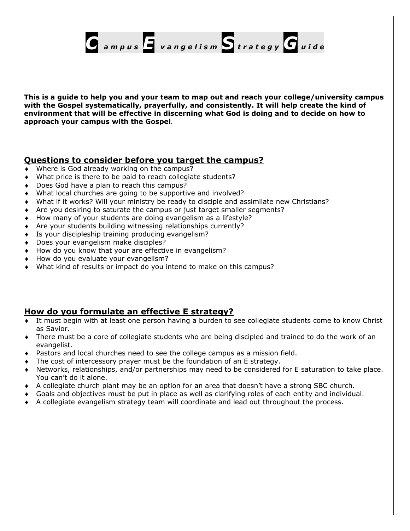

**This is a guide to help you and your team to map out and reach your college/university campus with the Gospel systematically, prayerfully, and consistently. It will help create the kind of environment that will be effective in discerning what God is doing and to decide on how to approach your campus with the Gospel***.* 

# **Questions to consider before you target the campus?**

- Where is God already working on the campus?
- What price is there to be paid to reach collegiate students?
- Does God have a plan to reach this campus?
- What local churches are going to be supportive and involved?
- What if it works? Will your ministry be ready to disciple and assimilate new Christians?
- ♦ Are you desiring to saturate the campus or just target smaller segments?
- ♦ How many of your students are doing evangelism as a lifestyle?
- ♦ Are your students building witnessing relationships currently?
- ♦ Is your discipleship training producing evangelism?
- ♦ Does your evangelism make disciples?
- ♦ How do you know that your are effective in evangelism?
- ♦ How do you evaluate your evangelism?
- ♦ What kind of results or impact do you intend to make on this campus?

# **How do you formulate an effective E strategy?**

- It must begin with at least one person having a burden to see collegiate students come to know Christ as Savior.
- ♦ There must be a core of collegiate students who are being discipled and trained to do the work of an evangelist.
- ♦ Pastors and local churches need to see the college campus as a mission field.
- $\bullet$  The cost of intercessory prayer must be the foundation of an E strategy.
- ♦ Networks, relationships, and/or partnerships may need to be considered for E saturation to take place. You can't do it alone.
- ♦ A collegiate church plant may be an option for an area that doesn't have a strong SBC church.
- ♦ Goals and objectives must be put in place as well as clarifying roles of each entity and individual.
- ♦ A collegiate evangelism strategy team will coordinate and lead out throughout the process.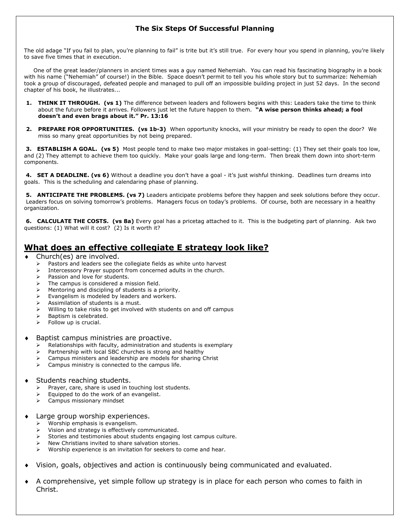### **The Six Steps Of Successful Planning**

The old adage "If you fail to plan, you're planning to fail" is trite but it's still true. For every hour you spend in planning, you're likely to save five times that in execution.

 One of the great leader/planners in ancient times was a guy named Nehemiah. You can read his fascinating biography in a book with his name ("Nehemiah" of course!) in the Bible. Space doesn't permit to tell you his whole story but to summarize: Nehemiah took a group of discouraged, defeated people and managed to pull off an impossible building project in just 52 days. In the second chapter of his book, he illustrates...

- **1. THINK IT THROUGH. (vs 1)** The difference between leaders and followers begins with this: Leaders take the time to think about the future before it arrives. Followers just let the future happen to them. **"A wise person thinks ahead; a fool doesn't and even brags about it." Pr. 13:16**
- **2. PREPARE FOR OPPORTUNITIES. (vs 1b-3)** When opportunity knocks, will your ministry be ready to open the door? We miss so many great opportunities by not being prepared.

**3. ESTABLISH A GOAL. (vs 5)** Most people tend to make two major mistakes in goal-setting: (1) They set their goals too low, and (2) They attempt to achieve them too quickly. Make your goals large and long-term. Then break them down into short-term components.

 **4. SET A DEADLINE. (vs 6)** Without a deadline you don't have a goal - it's just wishful thinking. Deadlines turn dreams into goals. This is the scheduling and calendaring phase of planning.

 **5. ANTICIPATE THE PROBLEMS. (vs 7)** Leaders anticipate problems before they happen and seek solutions before they occur. Leaders focus on solving tomorrow's problems. Managers focus on today's problems. Of course, both are necessary in a healthy organization.

 **6. CALCULATE THE COSTS. (vs 8a)** Every goal has a pricetag attached to it. This is the budgeting part of planning. Ask two questions: (1) What will it cost? (2) Is it worth it?

# **What does an effective collegiate E strategy look like?**

- Church(es) are involved.
	- $\triangleright$  Pastors and leaders see the collegiate fields as white unto harvest
	- Intercessory Prayer support from concerned adults in the church.
	- Passion and love for students.
	- The campus is considered a mission field.
	- Mentoring and discipling of students is a priority.
	- Evangelism is modeled by leaders and workers.
	- Assimilation of students is a must.
	- Willing to take risks to get involved with students on and off campus
	- ¾ Baptism is celebrated.
	- $\triangleright$  Follow up is crucial.

#### Baptist campus ministries are proactive.

- Relationships with faculty, administration and students is exemplary
- Partnership with local SBC churches is strong and healthy
- Campus ministers and leadership are models for sharing Christ
- Campus ministry is connected to the campus life.

#### Students reaching students.

- $\triangleright$  Prayer, care, share is used in touching lost students.
- Equipped to do the work of an evangelist.
- ¾ Campus missionary mindset
- Large group worship experiences.
	- Worship emphasis is evangelism.
	- Vision and strategy is effectively communicated.
	- Stories and testimonies about students engaging lost campus culture.
	- New Christians invited to share salvation stories.
	- Worship experience is an invitation for seekers to come and hear.
- Vision, goals, objectives and action is continuously being communicated and evaluated.
- A comprehensive, yet simple follow up strategy is in place for each person who comes to faith in Christ.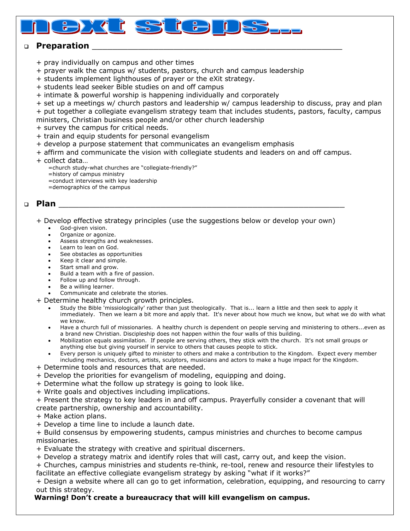## **Preparation** \_\_\_\_\_\_\_\_\_\_\_\_\_\_\_\_\_\_\_\_\_\_\_\_\_\_\_\_\_\_\_\_\_\_\_\_\_\_\_\_\_\_\_\_\_\_\_\_\_

<u>ទ</u>

- + pray individually on campus and other times
- + prayer walk the campus w/ students, pastors, church and campus leadership

d

 $\mathbf{g}$ 

- + students implement lighthouses of prayer or the eXit strategy.
- + students lead seeker Bible studies on and off campus
- + intimate & powerful worship is happening individually and corporately

+ set up a meetings w/ church pastors and leadership w/ campus leadership to discuss, pray and plan + put together a collegiate evangelism strategy team that includes students, pastors, faculty, campus

- ministers, Christian business people and/or other church leadership
- + survey the campus for critical needs.
- + train and equip students for personal evangelism
- + develop a purpose statement that communicates an evangelism emphasis
- + affirm and communicate the vision with collegiate students and leaders on and off campus.
- + collect data…
	- =church study-what churches are "collegiate-friendly?"
	- =history of campus ministry
	- =conduct interviews with key leadership
	- =demographics of the campus

## $\Box$  Plan

+ Develop effective strategy principles (use the suggestions below or develop your own)

- God-given vision.
- Organize or agonize.
- Assess strengths and weaknesses.
- Learn to lean on God.
- See obstacles as opportunities
- Keep it clear and simple.
- Start small and grow.
- Build a team with a fire of passion.
- Follow up and follow through.
- Be a willing learner.
- Communicate and celebrate the stories.
- + Determine healthy church growth principles.
	- Study the Bible 'missiologically' rather than just theologically. That is... learn a little and then seek to apply it immediately. Then we learn a bit more and apply that. It's never about how much we know, but what we do with what we know.
	- Have a church full of missionaries. A healthy church is dependent on people serving and ministering to others...even as a brand new Christian. Discipleship does not happen within the four walls of this building.
	- Mobilization equals assimilation. If people are serving others, they stick with the church. It's not small groups or anything else but giving yourself in service to others that causes people to stick.
	- Every person is uniquely gifted to minister to others and make a contribution to the Kingdom. Expect every member including mechanics, doctors, artists, sculptors, musicians and actors to make a huge impact for the Kingdom.
- + Determine tools and resources that are needed.
- + Develop the priorities for evangelism of modeling, equipping and doing.
- + Determine what the follow up strategy is going to look like.
- + Write goals and objectives including implications.
- + Present the strategy to key leaders in and off campus. Prayerfully consider a covenant that will create partnership, ownership and accountability.
- + Make action plans.
- + Develop a time line to include a launch date.
- + Build consensus by empowering students, campus ministries and churches to become campus missionaries.
- + Evaluate the strategy with creative and spiritual discerners.
- + Develop a strategy matrix and identify roles that will cast, carry out, and keep the vision.
- + Churches, campus ministries and students re-think, re-tool, renew and resource their lifestyles to facilitate an effective collegiate evangelism strategy by asking "what if it works?"
- + Design a website where all can go to get information, celebration, equipping, and resourcing to carry out this strategy.

#### **Warning! Don't create a bureaucracy that will kill evangelism on campus.**